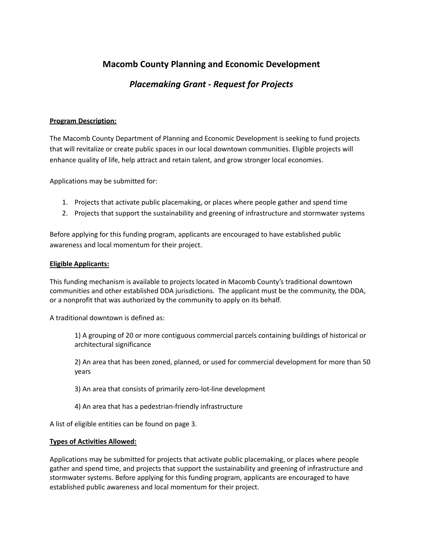# **Macomb County Planning and Economic Development**

# *Placemaking Grant - Request for Projects*

## **Program Description:**

The Macomb County Department of Planning and Economic Development is seeking to fund projects that will revitalize or create public spaces in our local downtown communities. Eligible projects will enhance quality of life, help attract and retain talent, and grow stronger local economies.

Applications may be submitted for:

- 1. Projects that activate public placemaking, or places where people gather and spend time
- 2. Projects that support the sustainability and greening of infrastructure and stormwater systems

Before applying for this funding program, applicants are encouraged to have established public awareness and local momentum for their project.

## **Eligible Applicants:**

This funding mechanism is available to projects located in Macomb County's traditional downtown communities and other established DDA jurisdictions. The applicant must be the community, the DDA, or a nonprofit that was authorized by the community to apply on its behalf.

A traditional downtown is defined as:

1) A grouping of 20 or more contiguous commercial parcels containing buildings of historical or architectural significance

2) An area that has been zoned, planned, or used for commercial development for more than 50 years

3) An area that consists of primarily zero-lot-line development

4) An area that has a pedestrian-friendly infrastructure

A list of eligible entities can be found on page 3.

### **Types of Activities Allowed:**

Applications may be submitted for projects that activate public placemaking, or places where people gather and spend time, and projects that support the sustainability and greening of infrastructure and stormwater systems. Before applying for this funding program, applicants are encouraged to have established public awareness and local momentum for their project.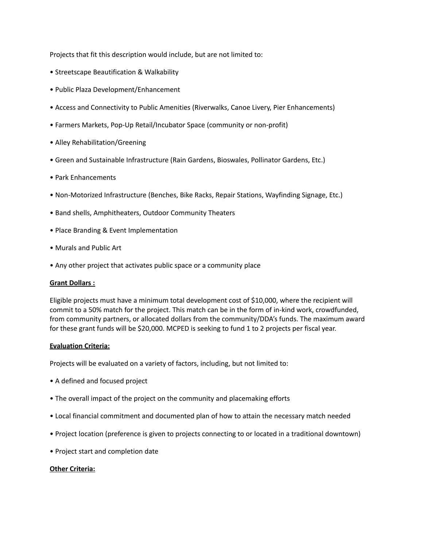Projects that fit this description would include, but are not limited to:

- Streetscape Beautification & Walkability
- Public Plaza Development/Enhancement
- Access and Connectivity to Public Amenities (Riverwalks, Canoe Livery, Pier Enhancements)
- Farmers Markets, Pop-Up Retail/Incubator Space (community or non-profit)
- Alley Rehabilitation/Greening
- Green and Sustainable Infrastructure (Rain Gardens, Bioswales, Pollinator Gardens, Etc.)
- Park Enhancements
- Non-Motorized Infrastructure (Benches, Bike Racks, Repair Stations, Wayfinding Signage, Etc.)
- Band shells, Amphitheaters, Outdoor Community Theaters
- Place Branding & Event Implementation
- Murals and Public Art
- Any other project that activates public space or a community place

#### **Grant Dollars :**

Eligible projects must have a minimum total development cost of \$10,000, where the recipient will commit to a 50% match for the project. This match can be in the form of in-kind work, crowdfunded, from community partners, or allocated dollars from the community/DDA's funds. The maximum award for these grant funds will be \$20,000. MCPED is seeking to fund 1 to 2 projects per fiscal year.

#### **Evaluation Criteria:**

Projects will be evaluated on a variety of factors, including, but not limited to:

- A defined and focused project
- The overall impact of the project on the community and placemaking efforts
- Local financial commitment and documented plan of how to attain the necessary match needed
- Project location (preference is given to projects connecting to or located in a traditional downtown)
- Project start and completion date

#### **Other Criteria:**